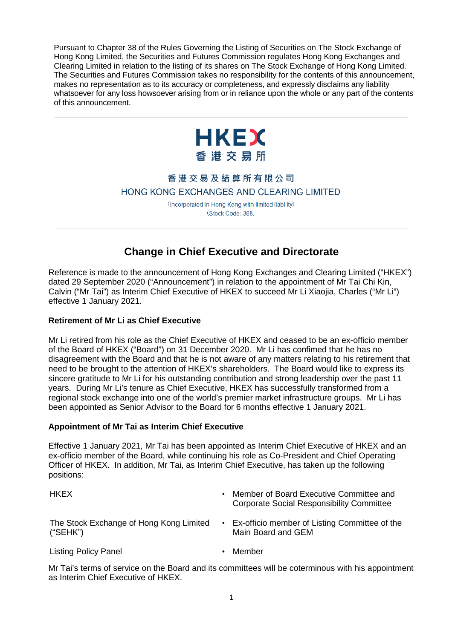Pursuant to Chapter 38 of the Rules Governing the Listing of Securities on The Stock Exchange of Hong Kong Limited, the Securities and Futures Commission regulates Hong Kong Exchanges and Clearing Limited in relation to the listing of its shares on The Stock Exchange of Hong Kong Limited. The Securities and Futures Commission takes no responsibility for the contents of this announcement, makes no representation as to its accuracy or completeness, and expressly disclaims any liability whatsoever for any loss howsoever arising from or in reliance upon the whole or any part of the contents of this announcement.



## 香港交易及結算所有限公司 HONG KONG EXCHANGES AND CLEARING LIMITED

(Incorporated in Hong Kong with limited liability) (Stock Code: 388)

## **Change in Chief Executive and Directorate**

Reference is made to the announcement of Hong Kong Exchanges and Clearing Limited ("HKEX") dated 29 September 2020 ("Announcement") in relation to the appointment of Mr Tai Chi Kin, Calvin ("Mr Tai") as Interim Chief Executive of HKEX to succeed Mr Li Xiaojia, Charles ("Mr Li") effective 1 January 2021.

## **Retirement of Mr Li as Chief Executive**

Mr Li retired from his role as the Chief Executive of HKEX and ceased to be an ex-officio member of the Board of HKEX ("Board") on 31 December 2020. Mr Li has confimed that he has no disagreement with the Board and that he is not aware of any matters relating to his retirement that need to be brought to the attention of HKEX's shareholders. The Board would like to express its sincere gratitude to Mr Li for his outstanding contribution and strong leadership over the past 11 years. During Mr Li's tenure as Chief Executive, HKEX has successfully transformed from a regional stock exchange into one of the world's premier market infrastructure groups. Mr Li has been appointed as Senior Advisor to the Board for 6 months effective 1 January 2021.

## **Appointment of Mr Tai as Interim Chief Executive**

Effective 1 January 2021, Mr Tai has been appointed as Interim Chief Executive of HKEX and an ex-officio member of the Board, while continuing his role as Co-President and Chief Operating Officer of HKEX. In addition, Mr Tai, as Interim Chief Executive, has taken up the following positions:

| HKEX                                                | Member of Board Executive Committee and<br><b>Corporate Social Responsibility Committee</b> |
|-----------------------------------------------------|---------------------------------------------------------------------------------------------|
| The Stock Exchange of Hong Kong Limited<br>("SEHK") | • Ex-officio member of Listing Committee of the<br>Main Board and GEM                       |
| <b>Listing Policy Panel</b>                         | Member                                                                                      |

Mr Tai's terms of service on the Board and its committees will be coterminous with his appointment as Interim Chief Executive of HKEX.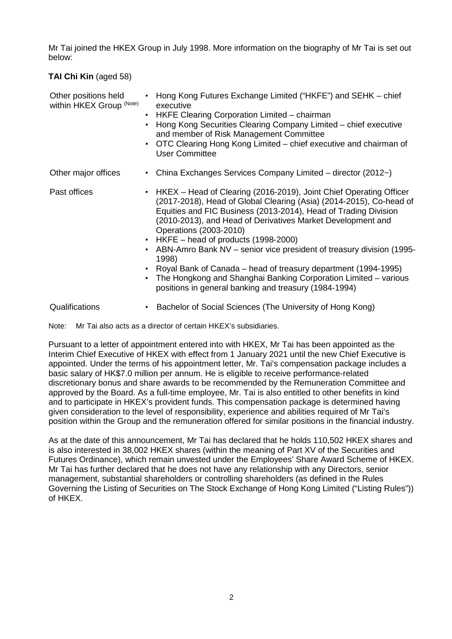Mr Tai joined the HKEX Group in July 1998. More information on the biography of Mr Tai is set out below:

**TAI Chi Kin** (aged 58)

| Other positions held<br>within HKEX Group (Note) | Hong Kong Futures Exchange Limited ("HKFE") and SEHK – chief<br>executive<br>• HKFE Clearing Corporation Limited – chairman<br>Hong Kong Securities Clearing Company Limited – chief executive<br>$\bullet$<br>and member of Risk Management Committee<br>• OTC Clearing Hong Kong Limited – chief executive and chairman of<br><b>User Committee</b>                                                                                                                                                                                                                                                                                              |
|--------------------------------------------------|----------------------------------------------------------------------------------------------------------------------------------------------------------------------------------------------------------------------------------------------------------------------------------------------------------------------------------------------------------------------------------------------------------------------------------------------------------------------------------------------------------------------------------------------------------------------------------------------------------------------------------------------------|
| Other major offices                              | China Exchanges Services Company Limited – director (2012~)                                                                                                                                                                                                                                                                                                                                                                                                                                                                                                                                                                                        |
| Past offices                                     | • HKEX – Head of Clearing (2016-2019), Joint Chief Operating Officer<br>(2017-2018), Head of Global Clearing (Asia) (2014-2015), Co-head of<br>Equities and FIC Business (2013-2014), Head of Trading Division<br>(2010-2013), and Head of Derivatives Market Development and<br>Operations (2003-2010)<br>• HKFE – head of products $(1998-2000)$<br>ABN-Amro Bank NV – senior vice president of treasury division (1995-<br>$\bullet$<br>1998)<br>• Royal Bank of Canada – head of treasury department (1994-1995)<br>• The Hongkong and Shanghai Banking Corporation Limited - various<br>positions in general banking and treasury (1984-1994) |
| Qualifications                                   | Bachelor of Social Sciences (The University of Hong Kong)                                                                                                                                                                                                                                                                                                                                                                                                                                                                                                                                                                                          |

Note: Mr Tai also acts as a director of certain HKEX's subsidiaries.

Pursuant to a letter of appointment entered into with HKEX, Mr Tai has been appointed as the Interim Chief Executive of HKEX with effect from 1 January 2021 until the new Chief Executive is appointed. Under the terms of his appointment letter, Mr. Tai's compensation package includes a basic salary of HK\$7.0 million per annum. He is eligible to receive performance-related discretionary bonus and share awards to be recommended by the Remuneration Committee and approved by the Board. As a full-time employee, Mr. Tai is also entitled to other benefits in kind and to participate in HKEX's provident funds. This compensation package is determined having given consideration to the level of responsibility, experience and abilities required of Mr Tai's position within the Group and the remuneration offered for similar positions in the financial industry.

As at the date of this announcement, Mr Tai has declared that he holds 110,502 HKEX shares and is also interested in 38,002 HKEX shares (within the meaning of Part XV of the Securities and Futures Ordinance), which remain unvested under the Employees' Share Award Scheme of HKEX. Mr Tai has further declared that he does not have any relationship with any Directors, senior management, substantial shareholders or controlling shareholders (as defined in the Rules Governing the Listing of Securities on The Stock Exchange of Hong Kong Limited ("Listing Rules")) of HKEX.